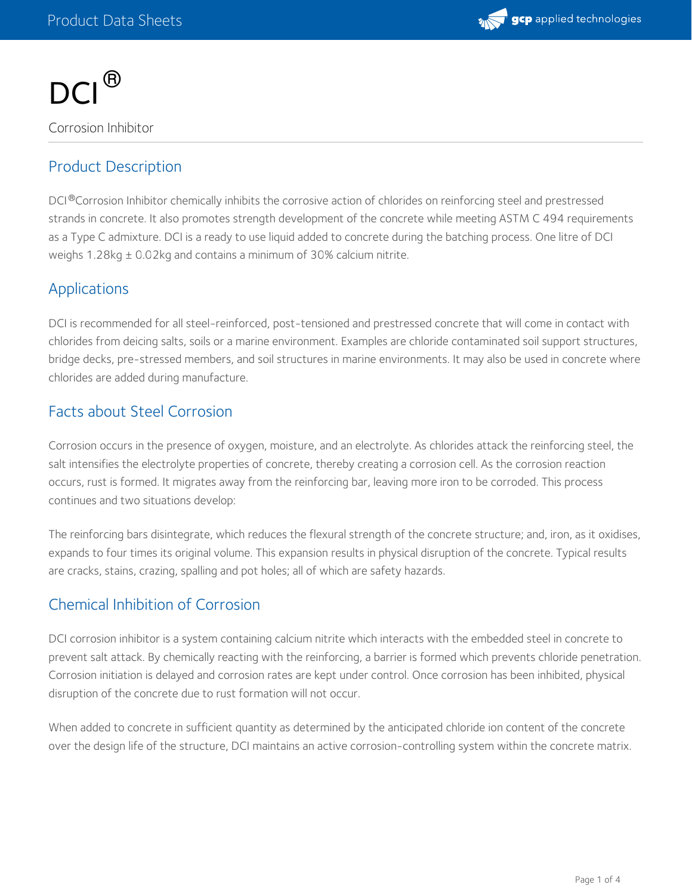



# Product Description

DCI®Corrosion Inhibitor chemically inhibits the corrosive action of chlorides on reinforcing steel and prestressed strands in concrete. It also promotes strength development of the concrete while meeting ASTM C 494 requirements as a Type C admixture. DCI is a ready to use liquid added to concrete during the batching process. One litre of DCI weighs 1.28kg ± 0.02kg and contains a minimum of 30% calcium nitrite.

# Applications

DCI is recommended for all steel-reinforced, post-tensioned and prestressed concrete that will come in contact with chlorides from deicing salts, soils or a marine environment. Examples are chloride contaminated soil support structures, bridge decks, pre-stressed members, and soil structures in marine environments. It may also be used in concrete where chlorides are added during manufacture.

# Facts about Steel Corrosion

Corrosion occurs in the presence of oxygen, moisture, and an electrolyte. As chlorides attack the reinforcing steel, the salt intensifies the electrolyte properties of concrete, thereby creating a corrosion cell. As the corrosion reaction occurs, rust is formed. It migrates away from the reinforcing bar, leaving more iron to be corroded. This process continues and two situations develop:

The reinforcing bars disintegrate, which reduces the flexural strength of the concrete structure; and, iron, as it oxidises, expands to four times its original volume. This expansion results in physical disruption of the concrete. Typical results are cracks, stains, crazing, spalling and pot holes; all of which are safety hazards.

# Chemical Inhibition of Corrosion

DCI corrosion inhibitor is a system containing calcium nitrite which interacts with the embedded steel in concrete to prevent salt attack. By chemically reacting with the reinforcing, a barrier is formed which prevents chloride penetration. Corrosion initiation is delayed and corrosion rates are kept under control. Once corrosion has been inhibited, physical disruption of the concrete due to rust formation will not occur.

When added to concrete in sufficient quantity as determined by the anticipated chloride ion content of the concrete over the design life of the structure, DCI maintains an active corrosion-controlling system within the concrete matrix.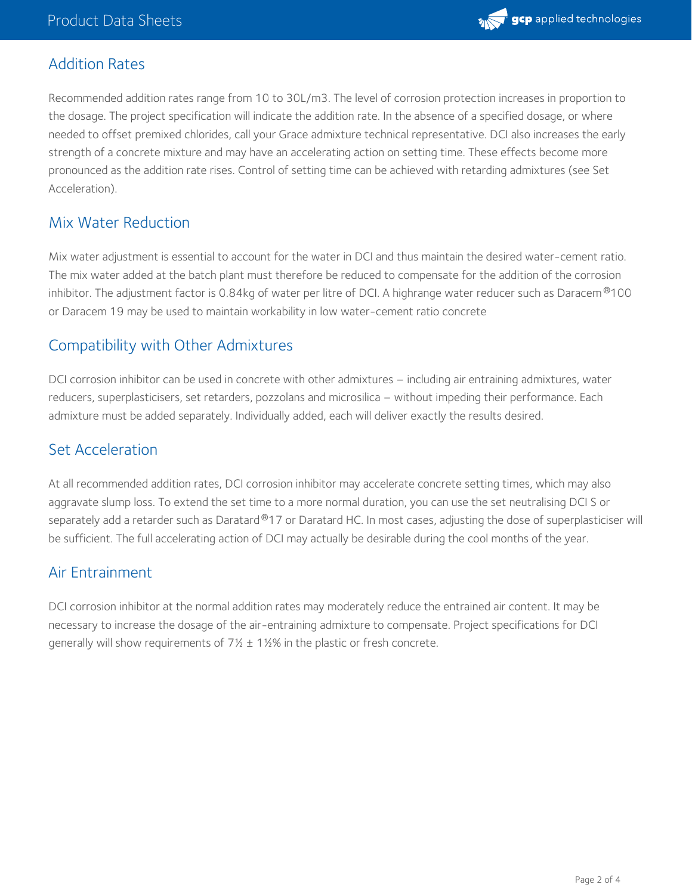

# Addition Rates

Recommended addition rates range from 10 to 30L/m3. The level of corrosion protection increases in proportion to the dosage. The project specification will indicate the addition rate. In the absence of a specified dosage, or where needed to offset premixed chlorides, call your Grace admixture technical representative. DCI also increases the early strength of a concrete mixture and may have an accelerating action on setting time. These effects become more pronounced as the addition rate rises. Control of setting time can be achieved with retarding admixtures (see Set Acceleration).

# Mix Water Reduction

Mix water adjustment is essential to account for the water in DCI and thus maintain the desired water-cement ratio. The mix water added at the batch plant must therefore be reduced to compensate for the addition of the corrosion inhibitor. The adjustment factor is 0.84kg of water per litre of DCI. A highrange water reducer such as Daracem®100 or Daracem 19 may be used to maintain workability in low water-cement ratio concrete

# Compatibility with Other Admixtures

DCI corrosion inhibitor can be used in concrete with other admixtures – including air entraining admixtures, water reducers, superplasticisers, set retarders, pozzolans and microsilica – without impeding their performance. Each admixture must be added separately. Individually added, each will deliver exactly the results desired.

### Set Acceleration

At all recommended addition rates, DCI corrosion inhibitor may accelerate concrete setting times, which may also aggravate slump loss. To extend the set time to a more normal duration, you can use the set neutralising DCI S or separately add a retarder such as Daratard®17 or Daratard HC. In most cases, adjusting the dose of superplasticiser will be sufficient. The full accelerating action of DCI may actually be desirable during the cool months of the year.

# Air Entrainment

DCI corrosion inhibitor at the normal addition rates may moderately reduce the entrained air content. It may be necessary to increase the dosage of the air-entraining admixture to compensate. Project specifications for DCI generally will show requirements of  $7\frac{1}{2}$  ± 1½% in the plastic or fresh concrete.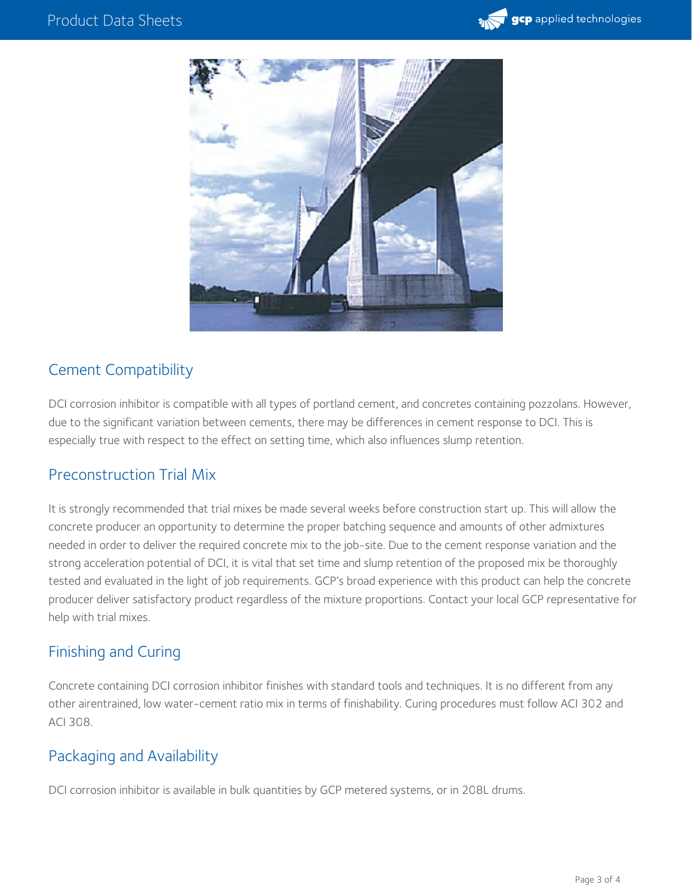



# Cement Compatibility

DCI corrosion inhibitor is compatible with all types of portland cement, and concretes containing pozzolans. However, due to the significant variation between cements, there may be differences in cement response to DCI. This is especially true with respect to the effect on setting time, which also influences slump retention.

# Preconstruction Trial Mix

It is strongly recommended that trial mixes be made several weeks before construction start up. This will allow the concrete producer an opportunity to determine the proper batching sequence and amounts of other admixtures needed in order to deliver the required concrete mix to the job-site. Due to the cement response variation and the strong acceleration potential of DCI, it is vital that set time and slump retention of the proposed mix be thoroughly tested and evaluated in the light of job requirements. GCP's broad experience with this product can help the concrete producer deliver satisfactory product regardless of the mixture proportions. Contact your local GCP representative for help with trial mixes.

# Finishing and Curing

Concrete containing DCI corrosion inhibitor finishes with standard tools and techniques. It is no different from any other airentrained, low water-cement ratio mix in terms of finishability. Curing procedures must follow ACI 302 and ACI 308.

# Packaging and Availability

DCI corrosion inhibitor is available in bulk quantities by GCP metered systems, or in 208L drums.